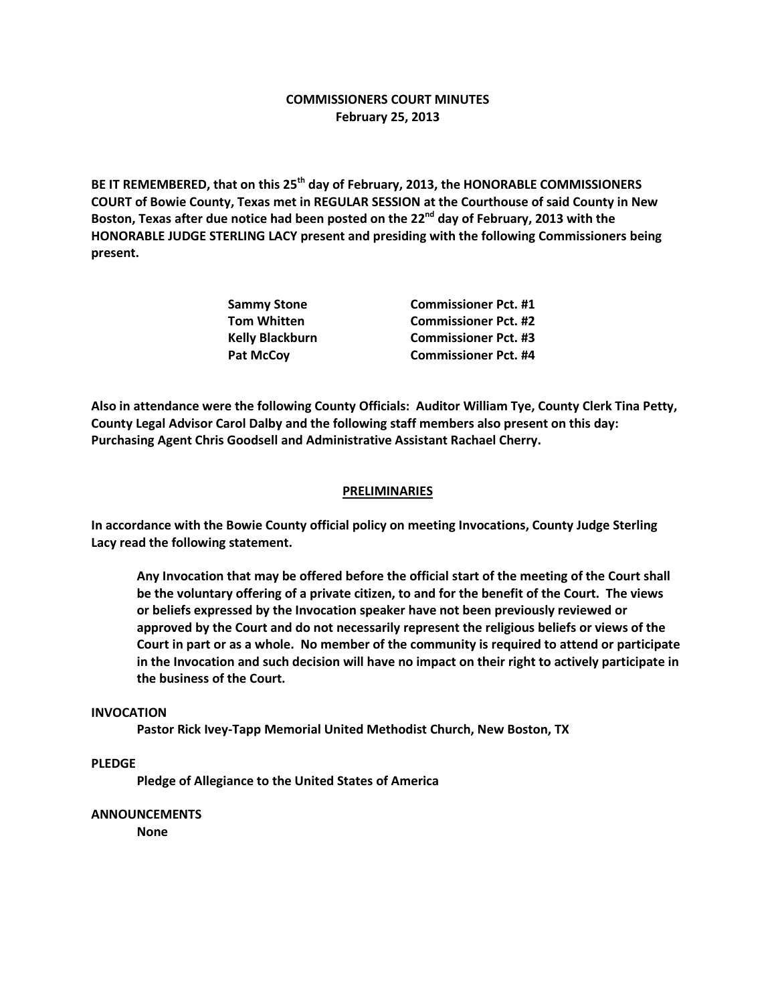# **COMMISSIONERS COURT MINUTES February 25, 2013**

**BE IT REMEMBERED, that on this 25th day of February, 2013, the HONORABLE COMMISSIONERS COURT of Bowie County, Texas met in REGULAR SESSION at the Courthouse of said County in New Boston, Texas after due notice had been posted on the 22nd day of February, 2013 with the HONORABLE JUDGE STERLING LACY present and presiding with the following Commissioners being present.**

| Sammy Stone            | <b>Commissioner Pct. #1</b> |
|------------------------|-----------------------------|
| Tom Whitten            | <b>Commissioner Pct. #2</b> |
| <b>Kelly Blackburn</b> | <b>Commissioner Pct. #3</b> |
| <b>Pat McCov</b>       | <b>Commissioner Pct. #4</b> |

**Also in attendance were the following County Officials: Auditor William Tye, County Clerk Tina Petty, County Legal Advisor Carol Dalby and the following staff members also present on this day: Purchasing Agent Chris Goodsell and Administrative Assistant Rachael Cherry.**

### **PRELIMINARIES**

**In accordance with the Bowie County official policy on meeting Invocations, County Judge Sterling Lacy read the following statement.**

**Any Invocation that may be offered before the official start of the meeting of the Court shall be the voluntary offering of a private citizen, to and for the benefit of the Court. The views or beliefs expressed by the Invocation speaker have not been previously reviewed or approved by the Court and do not necessarily represent the religious beliefs or views of the Court in part or as a whole. No member of the community is required to attend or participate in the Invocation and such decision will have no impact on their right to actively participate in the business of the Court.**

#### **INVOCATION**

**Pastor Rick Ivey-Tapp Memorial United Methodist Church, New Boston, TX**

## **PLEDGE**

**Pledge of Allegiance to the United States of America**

#### **ANNOUNCEMENTS**

**None**